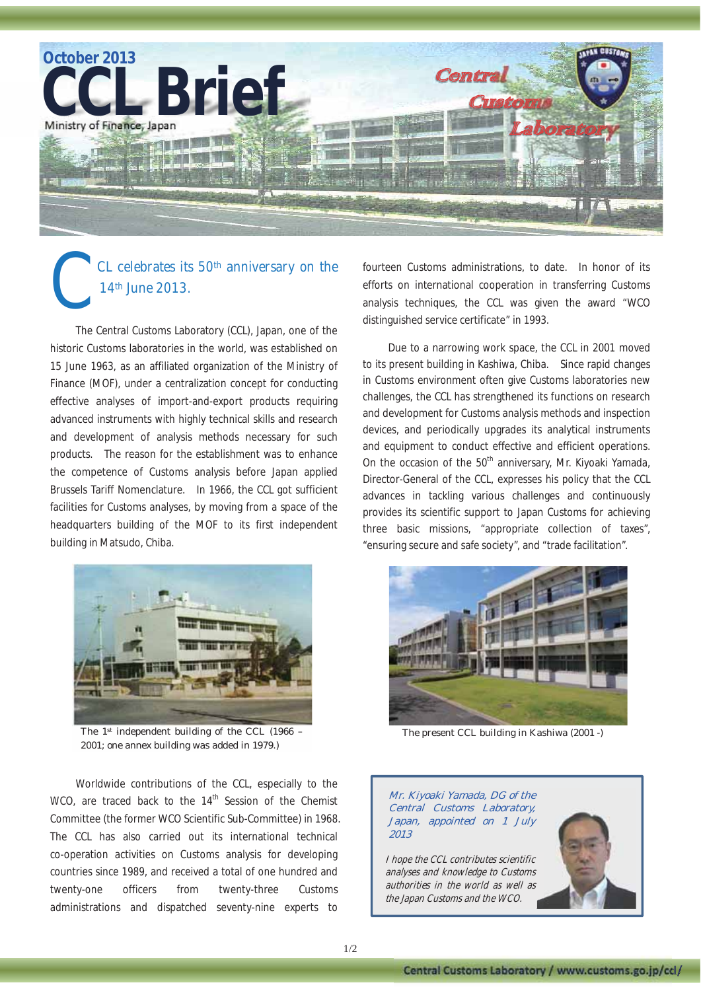

## CL celebrates its 50<sup>th</sup> anniversary on the 14th June 2013. C

The Central Customs Laboratory (CCL), Japan, one of the historic Customs laboratories in the world, was established on 15 June 1963, as an affiliated organization of the Ministry of Finance (MOF), under a centralization concept for conducting effective analyses of import-and-export products requiring advanced instruments with highly technical skills and research and development of analysis methods necessary for such products. The reason for the establishment was to enhance the competence of Customs analysis before Japan applied Brussels Tariff Nomenclature. In 1966, the CCL got sufficient facilities for Customs analyses, by moving from a space of the headquarters building of the MOF to its first independent building in Matsudo, Chiba.



The 1st independent building of the CCL (1966 -2001; one annex building was added in 1979.)

Worldwide contributions of the CCL, especially to the WCO, are traced back to the 14<sup>th</sup> Session of the Chemist Committee (the former WCO Scientific Sub-Committee) in 1968. The CCL has also carried out its international technical co-operation activities on Customs analysis for developing countries since 1989, and received a total of one hundred and twenty-one officers from twenty-three Customs administrations and dispatched seventy-nine experts to

fourteen Customs administrations, to date. In honor of its efforts on international cooperation in transferring Customs analysis techniques, the CCL was given the award "WCO distinguished service certificate" in 1993.

Due to a narrowing work space, the CCL in 2001 moved to its present building in Kashiwa, Chiba. Since rapid changes in Customs environment often give Customs laboratories new challenges, the CCL has strengthened its functions on research and development for Customs analysis methods and inspection devices, and periodically upgrades its analytical instruments and equipment to conduct effective and efficient operations. On the occasion of the  $50<sup>th</sup>$  anniversary, Mr. Kiyoaki Yamada, Director-General of the CCL, expresses his policy that the CCL advances in tackling various challenges and continuously provides its scientific support to Japan Customs for achieving three basic missions, "appropriate collection of taxes", "ensuring secure and safe society", and "trade facilitation".



The present CCL building in Kashiwa (2001 -)

Mr. Kiyoaki Yamada, DG of the Central Customs Laboratory, Japan, appointed on 1 July 2013

I hope the CCL contributes scientific analyses and knowledge to Customs authorities in the world as well as the Japan Customs and the WCO.